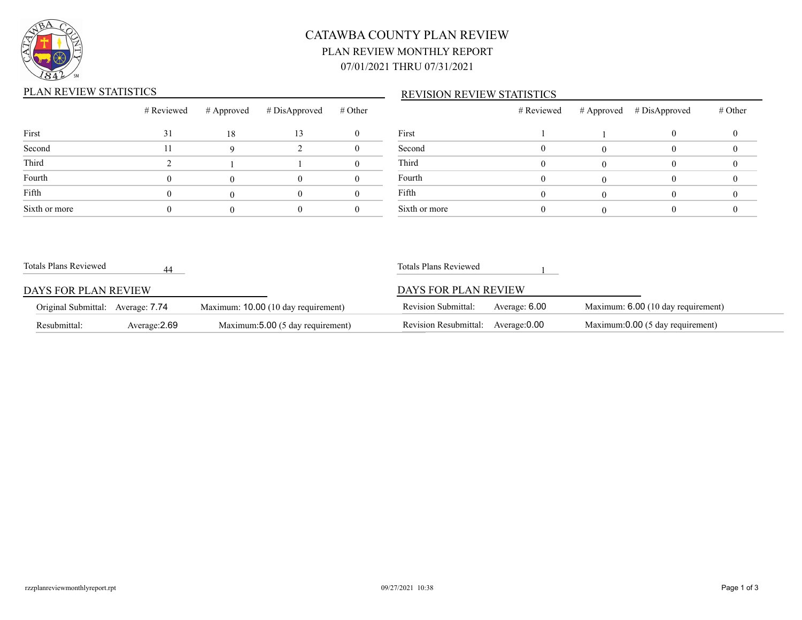

# CATAWBA COUNTY PLAN REVIEW PLAN REVIEW MONTHLY REPORT 07/01/2021 THRU 07/31/2021

### PLAN REVIEW STATISTICS

#### REVISION REVIEW STATISTICS

|               | # Reviewed |    | $\#$ Approved $\#$ DisApproved $\#$ Other |        |
|---------------|------------|----|-------------------------------------------|--------|
| First         | 31         | 18 | 13                                        | First  |
| Second        | 11         |    |                                           | Secon  |
| Third         |            |    |                                           | Third  |
| Fourth        |            |    |                                           | Fourth |
| Fifth         |            |    |                                           | Fifth  |
| Sixth or more |            |    |                                           | Sixth  |

|               | # Reviewed | # Approved # DisApproved | # Other |
|---------------|------------|--------------------------|---------|
| First         |            |                          |         |
| Second        |            |                          |         |
| Third         |            |                          |         |
| Fourth        |            |                          |         |
| Fifth         |            |                          |         |
| Sixth or more |            |                          |         |

| Totals Plans Reviewed             |               |                                     | Totals Plans Reviewed        |               |                                    |
|-----------------------------------|---------------|-------------------------------------|------------------------------|---------------|------------------------------------|
| DAYS FOR PLAN REVIEW              |               |                                     | DAYS FOR PLAN REVIEW         |               |                                    |
| Original Submittal: Average: 7.74 |               | Maximum: 10.00 (10 day requirement) | <b>Revision Submittal:</b>   | Average: 6.00 | Maximum: 6.00 (10 day requirement) |
| Resubmittal:                      | Average: 2.69 | Maximum: 5.00 (5 day requirement)   | <b>Revision Resubmittal:</b> | Average:0.00  | Maximum:0.00 (5 day requirement)   |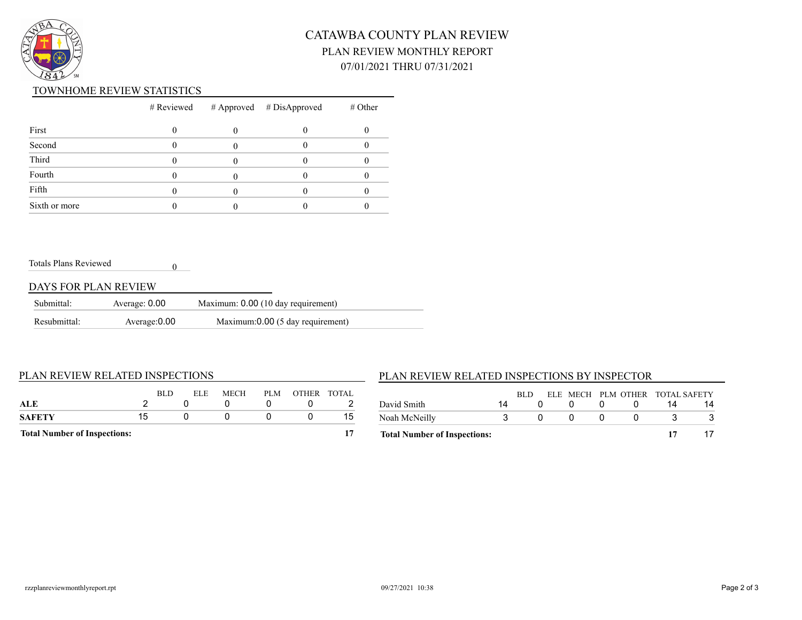

# CATAWBA COUNTY PLAN REVIEW PLAN REVIEW MONTHLY REPORT 07/01/2021 THRU 07/31/2021

#### TOWNHOME REVIEW STATISTICS

|               |  | $#$ Reviewed $#$ Approved $#$ DisApproved | $#$ Other |
|---------------|--|-------------------------------------------|-----------|
| First         |  |                                           |           |
| Second        |  |                                           |           |
| Third         |  |                                           |           |
| Fourth        |  |                                           |           |
| Fifth         |  |                                           |           |
| Sixth or more |  |                                           |           |

Totals Plans Reviewed

### DAYS FOR PLAN REVIEW

| Submittal:   | Average: 0.00 | Maximum: 0.00 (10 day requirement) |
|--------------|---------------|------------------------------------|
| Resubmittal: | Average: 0.00 | Maximum:0.00 (5 day requirement)   |

0

#### PLAN REVIEW RELATED INSPECTIONS

### PLAN REVIEW RELATED INSPECTIONS BY INSPECTOR

| ALE<br>SAFETY                       | 15 | <b>BLD</b> | ELE. | MECH | PLM | OTHER TOTAL | 15 |
|-------------------------------------|----|------------|------|------|-----|-------------|----|
| <b>Total Number of Inspections:</b> |    |            |      |      |     |             |    |

| <b>Total Number of Inspections:</b> |    |      |              |                                 |    |
|-------------------------------------|----|------|--------------|---------------------------------|----|
| Noah McNeilly                       |    |      | $\mathbf{u}$ |                                 |    |
| David Smith                         | 14 |      |              |                                 | 14 |
|                                     |    | RLD. |              | ELE MECH PLM OTHER TOTAL SAFETY |    |